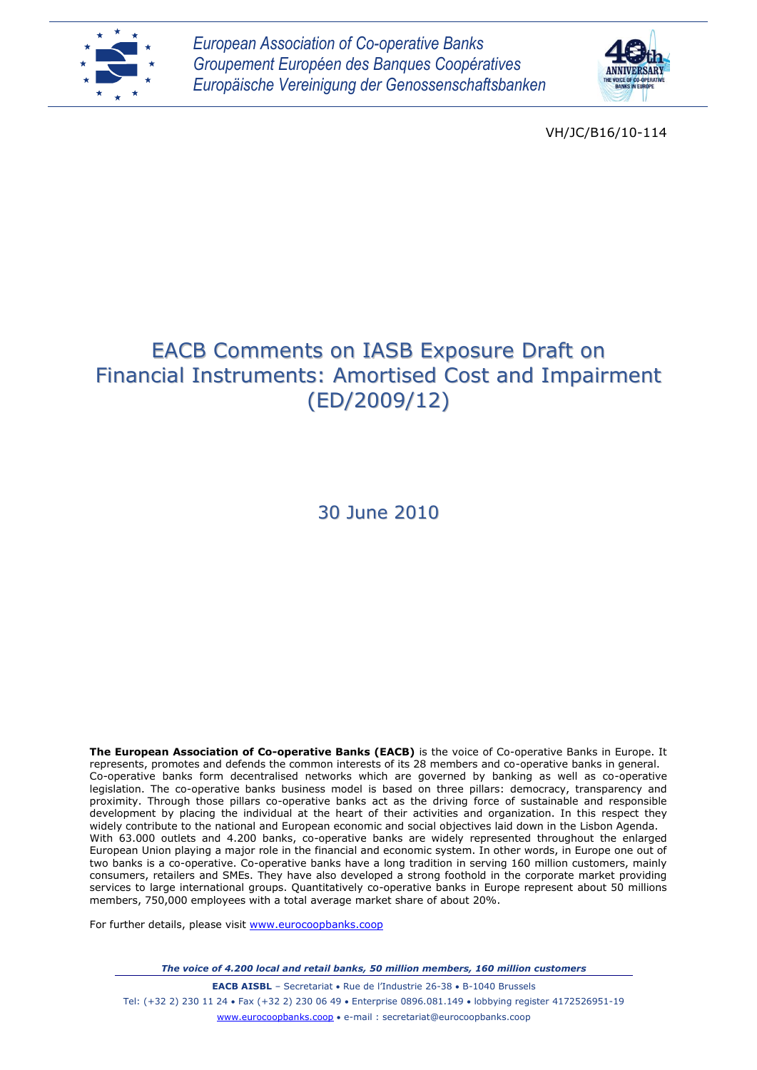



VH/JC/B16/10-114

# EACB Comments on IASB Exposure Draft on Financial Instruments: Amortised Cost and Impairment (ED/2009/12)

30 June 2010

**The European Association of Co-operative Banks (EACB)** is the voice of Co-operative Banks in Europe. It represents, promotes and defends the common interests of its 28 members and co-operative banks in general. Co-operative banks form decentralised networks which are governed by banking as well as co-operative legislation. The co-operative banks business model is based on three pillars: democracy, transparency and proximity. Through those pillars co-operative banks act as the driving force of sustainable and responsible development by placing the individual at the heart of their activities and organization. In this respect they widely contribute to the national and European economic and social objectives laid down in the Lisbon Agenda. With 63.000 outlets and 4.200 banks, co-operative banks are widely represented throughout the enlarged European Union playing a major role in the financial and economic system. In other words, in Europe one out of two banks is a co-operative. Co-operative banks have a long tradition in serving 160 million customers, mainly consumers, retailers and SMEs. They have also developed a strong foothold in the corporate market providing services to large international groups. Quantitatively co-operative banks in Europe represent about 50 millions members, 750,000 employees with a total average market share of about 20%.

For further details, please visit [www.eurocoopbanks.coop](http://www.eurocoopbanks.coop/)

*The voice of 4.200 local and retail banks, 50 million members, 160 million customers*

**EACB AISBL** - Secretariat • Rue de l'Industrie 26-38 • B-1040 Brussels Tel: (+32 2) 230 11 24 Fax (+32 2) 230 06 49 Enterprise 0896.081.149 lobbying register 4172526951-19 www.eurocoopbanks.coop e-mail : secretariat@eurocoopbanks.coop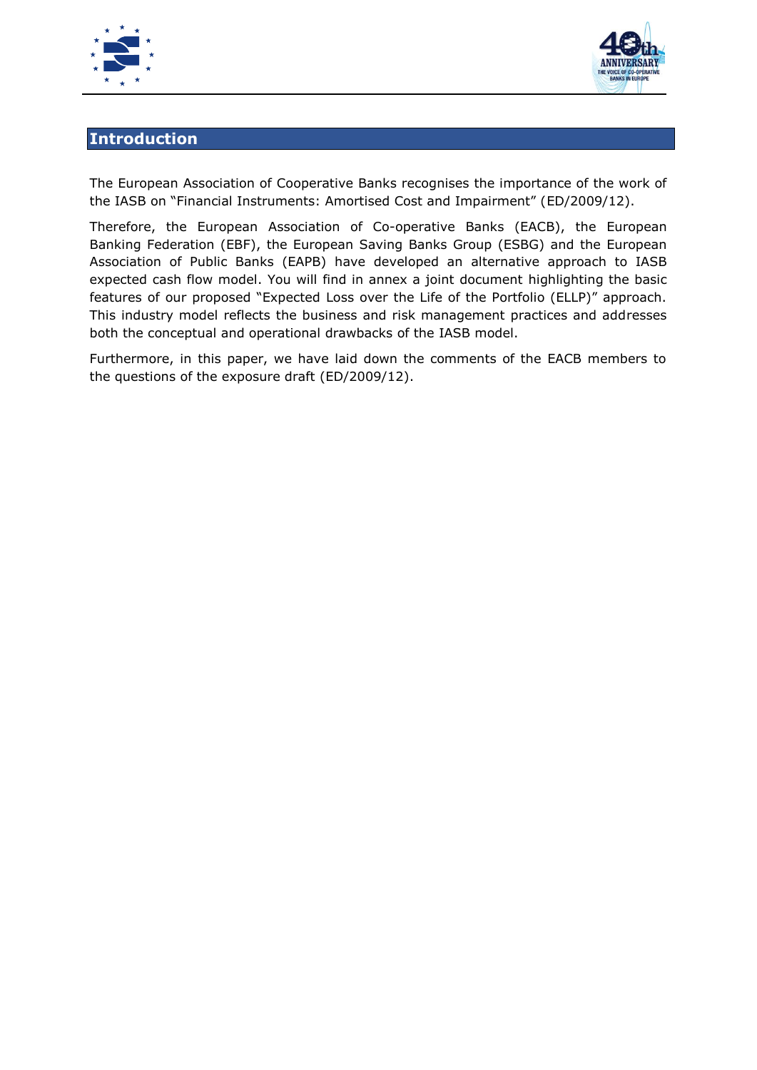



# **Introduction**

The European Association of Cooperative Banks recognises the importance of the work of the IASB on "Financial Instruments: Amortised Cost and Impairment" (ED/2009/12).

Therefore, the European Association of Co-operative Banks (EACB), the European Banking Federation (EBF), the European Saving Banks Group (ESBG) and the European Association of Public Banks (EAPB) have developed an alternative approach to IASB expected cash flow model. You will find in annex a joint document highlighting the basic features of our proposed "Expected Loss over the Life of the Portfolio (ELLP)" approach. This industry model reflects the business and risk management practices and addresses both the conceptual and operational drawbacks of the IASB model.

Furthermore, in this paper, we have laid down the comments of the EACB members to the questions of the exposure draft (ED/2009/12).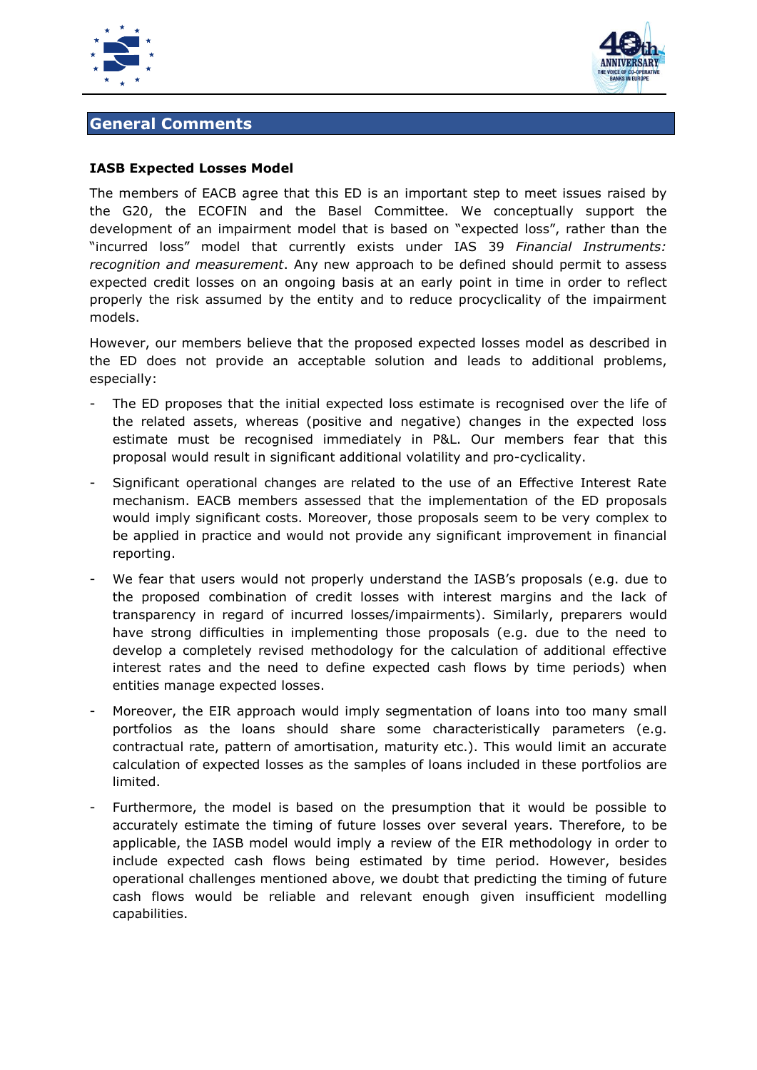



# **General Comments**

#### **IASB Expected Losses Model**

The members of EACB agree that this ED is an important step to meet issues raised by the G20, the ECOFIN and the Basel Committee. We conceptually support the development of an impairment model that is based on "expected loss", rather than the "incurred loss" model that currently exists under IAS 39 *Financial Instruments: recognition and measurement*. Any new approach to be defined should permit to assess expected credit losses on an ongoing basis at an early point in time in order to reflect properly the risk assumed by the entity and to reduce procyclicality of the impairment models.

However, our members believe that the proposed expected losses model as described in the ED does not provide an acceptable solution and leads to additional problems, especially:

- The ED proposes that the initial expected loss estimate is recognised over the life of the related assets, whereas (positive and negative) changes in the expected loss estimate must be recognised immediately in P&L. Our members fear that this proposal would result in significant additional volatility and pro-cyclicality.
- Significant operational changes are related to the use of an Effective Interest Rate mechanism. EACB members assessed that the implementation of the ED proposals would imply significant costs. Moreover, those proposals seem to be very complex to be applied in practice and would not provide any significant improvement in financial reporting.
- We fear that users would not properly understand the IASB's proposals (e.g. due to the proposed combination of credit losses with interest margins and the lack of transparency in regard of incurred losses/impairments). Similarly, preparers would have strong difficulties in implementing those proposals (e.g. due to the need to develop a completely revised methodology for the calculation of additional effective interest rates and the need to define expected cash flows by time periods) when entities manage expected losses.
- Moreover, the EIR approach would imply segmentation of loans into too many small portfolios as the loans should share some characteristically parameters (e.g. contractual rate, pattern of amortisation, maturity etc.). This would limit an accurate calculation of expected losses as the samples of loans included in these portfolios are limited.
- Furthermore, the model is based on the presumption that it would be possible to accurately estimate the timing of future losses over several years. Therefore, to be applicable, the IASB model would imply a review of the EIR methodology in order to include expected cash flows being estimated by time period. However, besides operational challenges mentioned above, we doubt that predicting the timing of future cash flows would be reliable and relevant enough given insufficient modelling capabilities.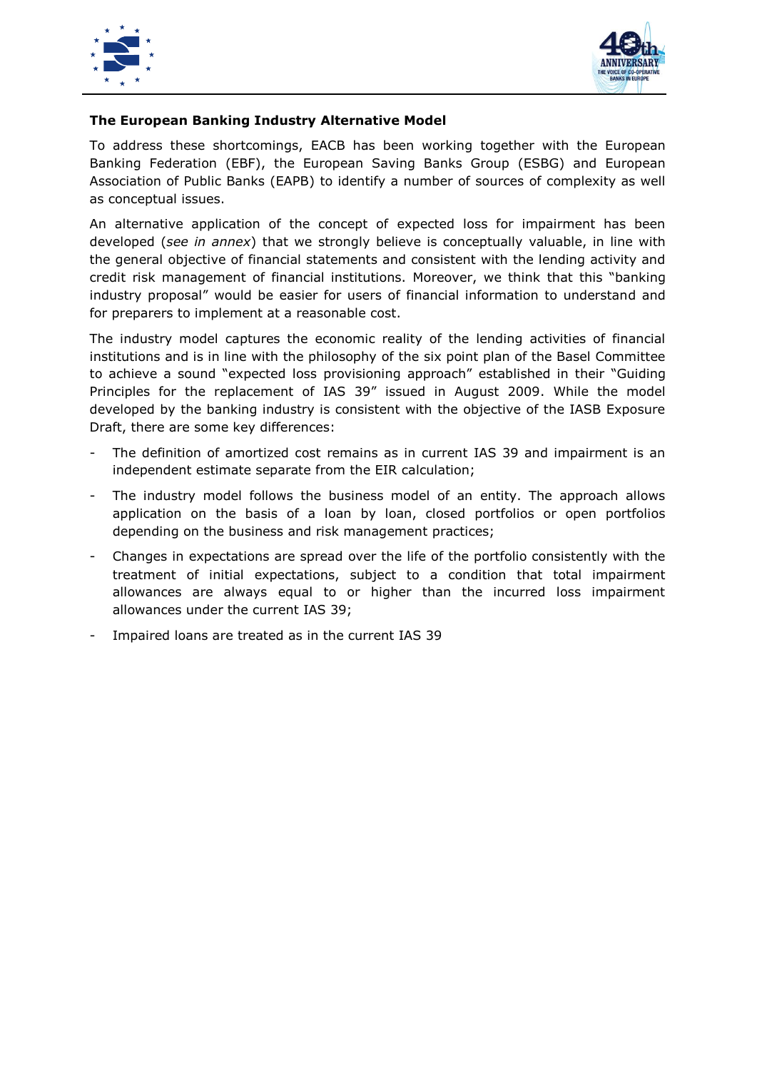



#### **The European Banking Industry Alternative Model**

To address these shortcomings, EACB has been working together with the European Banking Federation (EBF), the European Saving Banks Group (ESBG) and European Association of Public Banks (EAPB) to identify a number of sources of complexity as well as conceptual issues.

An alternative application of the concept of expected loss for impairment has been developed (*see in annex*) that we strongly believe is conceptually valuable, in line with the general objective of financial statements and consistent with the lending activity and credit risk management of financial institutions. Moreover, we think that this "banking industry proposal" would be easier for users of financial information to understand and for preparers to implement at a reasonable cost.

The industry model captures the economic reality of the lending activities of financial institutions and is in line with the philosophy of the six point plan of the Basel Committee to achieve a sound "expected loss provisioning approach" established in their "Guiding Principles for the replacement of IAS 39" issued in August 2009. While the model developed by the banking industry is consistent with the objective of the IASB Exposure Draft, there are some key differences:

- The definition of amortized cost remains as in current IAS 39 and impairment is an independent estimate separate from the EIR calculation;
- The industry model follows the business model of an entity. The approach allows application on the basis of a loan by loan, closed portfolios or open portfolios depending on the business and risk management practices;
- Changes in expectations are spread over the life of the portfolio consistently with the treatment of initial expectations, subject to a condition that total impairment allowances are always equal to or higher than the incurred loss impairment allowances under the current IAS 39;
- Impaired loans are treated as in the current IAS 39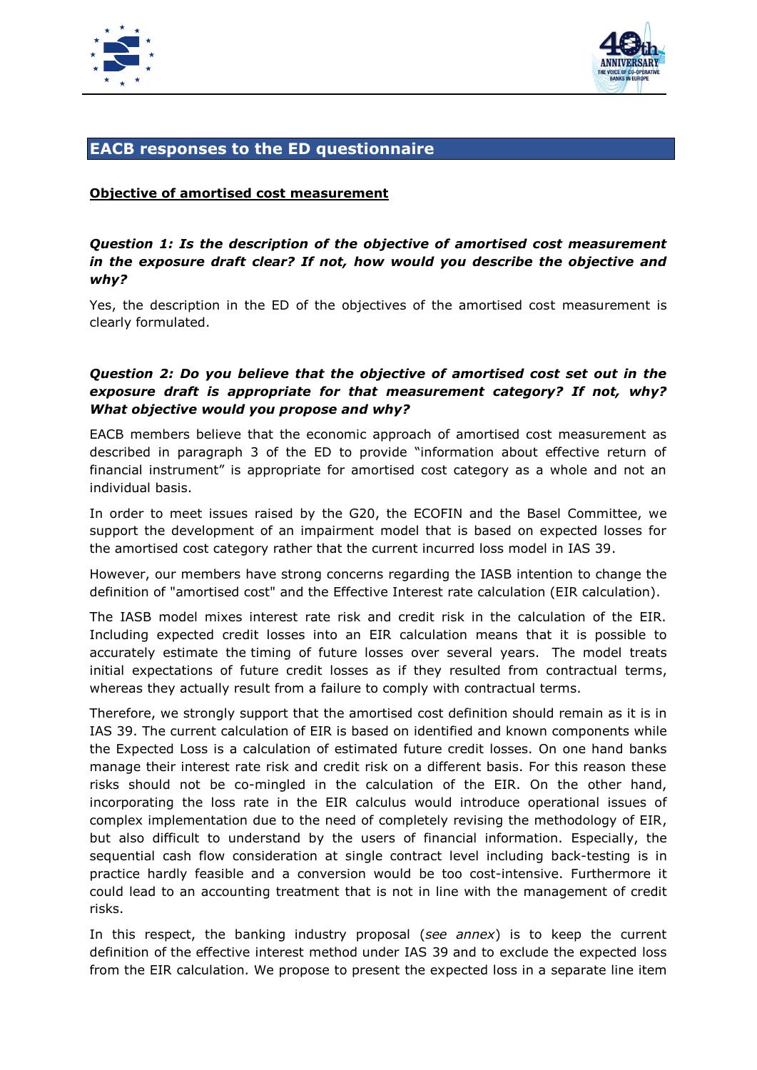



# **EACB responses to the ED questionnaire**

#### **Objective of amortised cost measurement**

#### *Question 1: Is the description of the objective of amortised cost measurement in the exposure draft clear? If not, how would you describe the objective and why?*

Yes, the description in the ED of the objectives of the amortised cost measurement is clearly formulated.

#### *Question 2: Do you believe that the objective of amortised cost set out in the exposure draft is appropriate for that measurement category? If not, why? What objective would you propose and why?*

EACB members believe that the economic approach of amortised cost measurement as described in paragraph 3 of the ED to provide "information about effective return of financial instrument" is appropriate for amortised cost category as a whole and not an individual basis.

In order to meet issues raised by the G20, the ECOFIN and the Basel Committee, we support the development of an impairment model that is based on expected losses for the amortised cost category rather that the current incurred loss model in IAS 39.

However, our members have strong concerns regarding the IASB intention to change the definition of "amortised cost" and the Effective Interest rate calculation (EIR calculation).

The IASB model mixes interest rate risk and credit risk in the calculation of the EIR. Including expected credit losses into an EIR calculation means that it is possible to accurately estimate the timing of future losses over several years. The model treats initial expectations of future credit losses as if they resulted from contractual terms, whereas they actually result from a failure to comply with contractual terms.

Therefore, we strongly support that the amortised cost definition should remain as it is in IAS 39. The current calculation of EIR is based on identified and known components while the Expected Loss is a calculation of estimated future credit losses. On one hand banks manage their interest rate risk and credit risk on a different basis. For this reason these risks should not be co-mingled in the calculation of the EIR. On the other hand, incorporating the loss rate in the EIR calculus would introduce operational issues of complex implementation due to the need of completely revising the methodology of EIR, but also difficult to understand by the users of financial information. Especially, the sequential cash flow consideration at single contract level including back-testing is in practice hardly feasible and a conversion would be too cost-intensive. Furthermore it could lead to an accounting treatment that is not in line with the management of credit risks.

In this respect, the banking industry proposal (*see annex*) is to keep the current definition of the effective interest method under IAS 39 and to exclude the expected loss from the EIR calculation. We propose to present the expected loss in a separate line item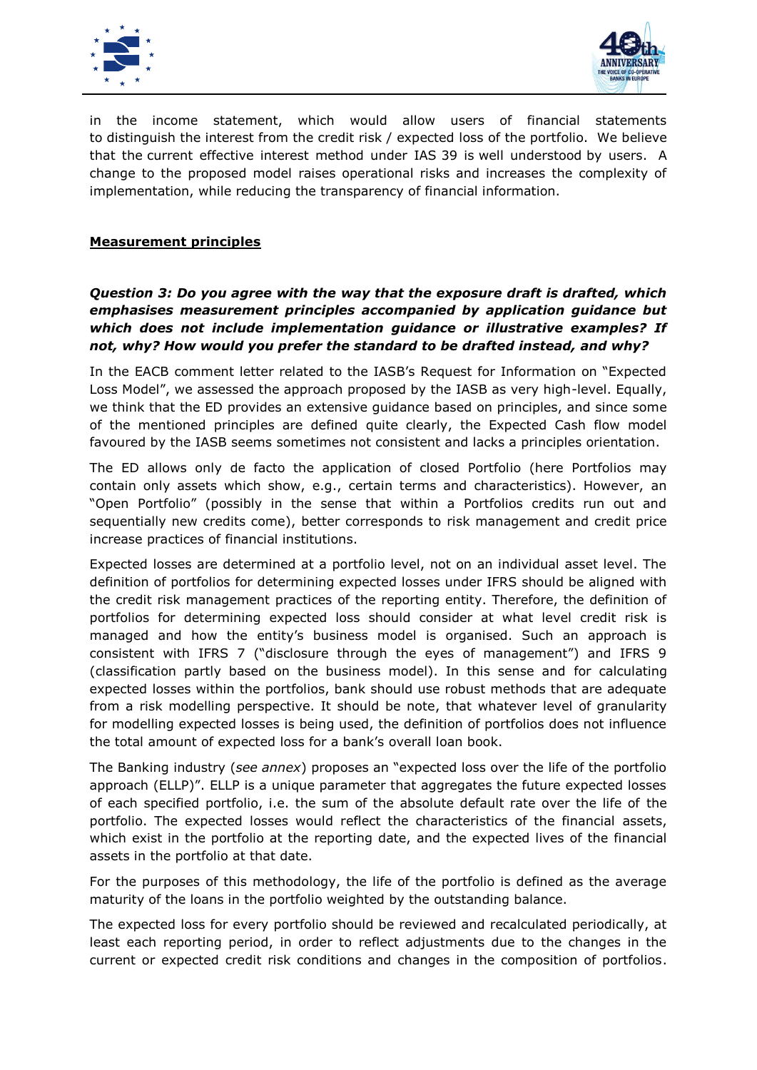



in the income statement, which would allow users of financial statements to distinguish the interest from the credit risk / expected loss of the portfolio. We believe that the current effective interest method under IAS 39 is well understood by users. A change to the proposed model raises operational risks and increases the complexity of implementation, while reducing the transparency of financial information.

#### **Measurement principles**

#### *Question 3: Do you agree with the way that the exposure draft is drafted, which emphasises measurement principles accompanied by application guidance but which does not include implementation guidance or illustrative examples? If not, why? How would you prefer the standard to be drafted instead, and why?*

In the EACB comment letter related to the IASB's Request for Information on "Expected Loss Model", we assessed the approach proposed by the IASB as very high-level. Equally, we think that the ED provides an extensive guidance based on principles, and since some of the mentioned principles are defined quite clearly, the Expected Cash flow model favoured by the IASB seems sometimes not consistent and lacks a principles orientation.

The ED allows only de facto the application of closed Portfolio (here Portfolios may contain only assets which show, e.g., certain terms and characteristics). However, an "Open Portfolio" (possibly in the sense that within a Portfolios credits run out and sequentially new credits come), better corresponds to risk management and credit price increase practices of financial institutions.

Expected losses are determined at a portfolio level, not on an individual asset level. The definition of portfolios for determining expected losses under IFRS should be aligned with the credit risk management practices of the reporting entity. Therefore, the definition of portfolios for determining expected loss should consider at what level credit risk is managed and how the entity's business model is organised. Such an approach is consistent with IFRS 7 ("disclosure through the eyes of management") and IFRS 9 (classification partly based on the business model). In this sense and for calculating expected losses within the portfolios, bank should use robust methods that are adequate from a risk modelling perspective. It should be note, that whatever level of granularity for modelling expected losses is being used, the definition of portfolios does not influence the total amount of expected loss for a bank's overall loan book.

The Banking industry (*see annex*) proposes an "expected loss over the life of the portfolio approach (ELLP)". ELLP is a unique parameter that aggregates the future expected losses of each specified portfolio, i.e. the sum of the absolute default rate over the life of the portfolio. The expected losses would reflect the characteristics of the financial assets, which exist in the portfolio at the reporting date, and the expected lives of the financial assets in the portfolio at that date.

For the purposes of this methodology, the life of the portfolio is defined as the average maturity of the loans in the portfolio weighted by the outstanding balance.

The expected loss for every portfolio should be reviewed and recalculated periodically, at least each reporting period, in order to reflect adjustments due to the changes in the current or expected credit risk conditions and changes in the composition of portfolios.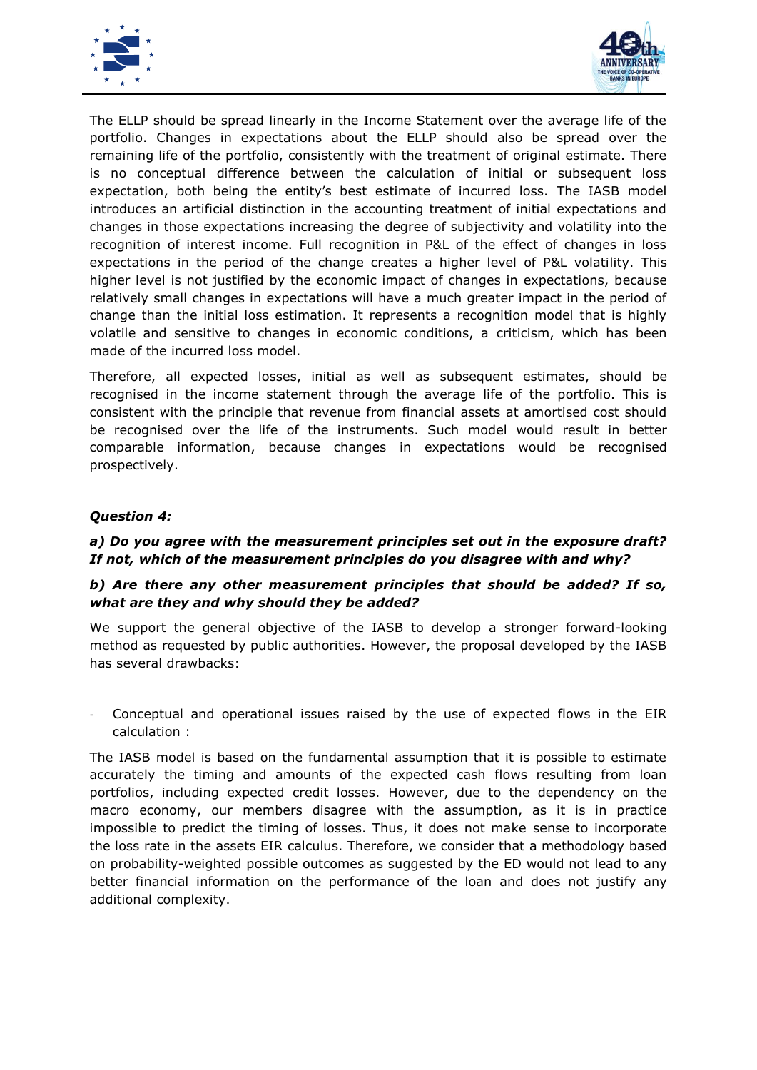



The ELLP should be spread linearly in the Income Statement over the average life of the portfolio. Changes in expectations about the ELLP should also be spread over the remaining life of the portfolio, consistently with the treatment of original estimate. There is no conceptual difference between the calculation of initial or subsequent loss expectation, both being the entity's best estimate of incurred loss. The IASB model introduces an artificial distinction in the accounting treatment of initial expectations and changes in those expectations increasing the degree of subjectivity and volatility into the recognition of interest income. Full recognition in P&L of the effect of changes in loss expectations in the period of the change creates a higher level of P&L volatility. This higher level is not justified by the economic impact of changes in expectations, because relatively small changes in expectations will have a much greater impact in the period of change than the initial loss estimation. It represents a recognition model that is highly volatile and sensitive to changes in economic conditions, a criticism, which has been made of the incurred loss model.

Therefore, all expected losses, initial as well as subsequent estimates, should be recognised in the income statement through the average life of the portfolio. This is consistent with the principle that revenue from financial assets at amortised cost should be recognised over the life of the instruments. Such model would result in better comparable information, because changes in expectations would be recognised prospectively.

#### *Question 4:*

#### *a) Do you agree with the measurement principles set out in the exposure draft? If not, which of the measurement principles do you disagree with and why?*

#### *b) Are there any other measurement principles that should be added? If so, what are they and why should they be added?*

We support the general objective of the IASB to develop a stronger forward-looking method as requested by public authorities. However, the proposal developed by the IASB has several drawbacks:

Conceptual and operational issues raised by the use of expected flows in the EIR calculation :

The IASB model is based on the fundamental assumption that it is possible to estimate accurately the timing and amounts of the expected cash flows resulting from loan portfolios, including expected credit losses. However, due to the dependency on the macro economy, our members disagree with the assumption, as it is in practice impossible to predict the timing of losses. Thus, it does not make sense to incorporate the loss rate in the assets EIR calculus. Therefore, we consider that a methodology based on probability-weighted possible outcomes as suggested by the ED would not lead to any better financial information on the performance of the loan and does not justify any additional complexity.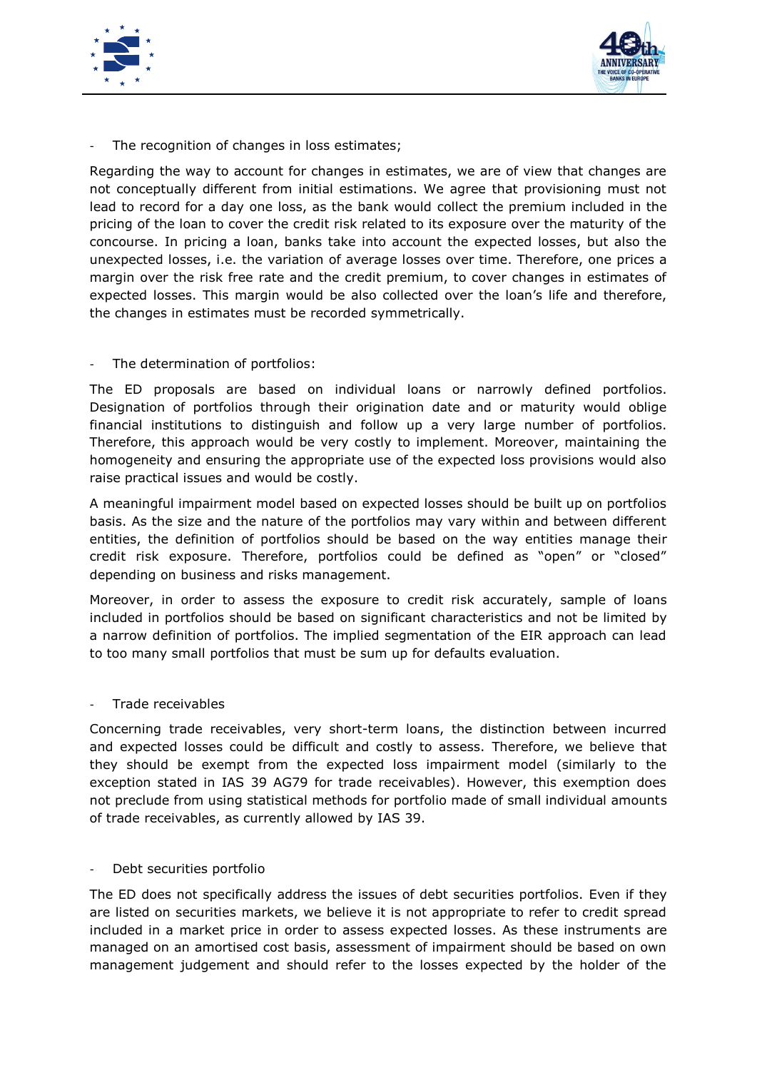



The recognition of changes in loss estimates;

Regarding the way to account for changes in estimates, we are of view that changes are not conceptually different from initial estimations. We agree that provisioning must not lead to record for a day one loss, as the bank would collect the premium included in the pricing of the loan to cover the credit risk related to its exposure over the maturity of the concourse. In pricing a loan, banks take into account the expected losses, but also the unexpected losses, i.e. the variation of average losses over time. Therefore, one prices a margin over the risk free rate and the credit premium, to cover changes in estimates of expected losses. This margin would be also collected over the loan's life and therefore, the changes in estimates must be recorded symmetrically.

The determination of portfolios:

The ED proposals are based on individual loans or narrowly defined portfolios. Designation of portfolios through their origination date and or maturity would oblige financial institutions to distinguish and follow up a very large number of portfolios. Therefore, this approach would be very costly to implement. Moreover, maintaining the homogeneity and ensuring the appropriate use of the expected loss provisions would also raise practical issues and would be costly.

A meaningful impairment model based on expected losses should be built up on portfolios basis. As the size and the nature of the portfolios may vary within and between different entities, the definition of portfolios should be based on the way entities manage their credit risk exposure. Therefore, portfolios could be defined as "open" or "closed" depending on business and risks management.

Moreover, in order to assess the exposure to credit risk accurately, sample of loans included in portfolios should be based on significant characteristics and not be limited by a narrow definition of portfolios. The implied segmentation of the EIR approach can lead to too many small portfolios that must be sum up for defaults evaluation.

- Trade receivables

Concerning trade receivables, very short-term loans, the distinction between incurred and expected losses could be difficult and costly to assess. Therefore, we believe that they should be exempt from the expected loss impairment model (similarly to the exception stated in IAS 39 AG79 for trade receivables). However, this exemption does not preclude from using statistical methods for portfolio made of small individual amounts of trade receivables, as currently allowed by IAS 39.

Debt securities portfolio

The ED does not specifically address the issues of debt securities portfolios. Even if they are listed on securities markets, we believe it is not appropriate to refer to credit spread included in a market price in order to assess expected losses. As these instruments are managed on an amortised cost basis, assessment of impairment should be based on own management judgement and should refer to the losses expected by the holder of the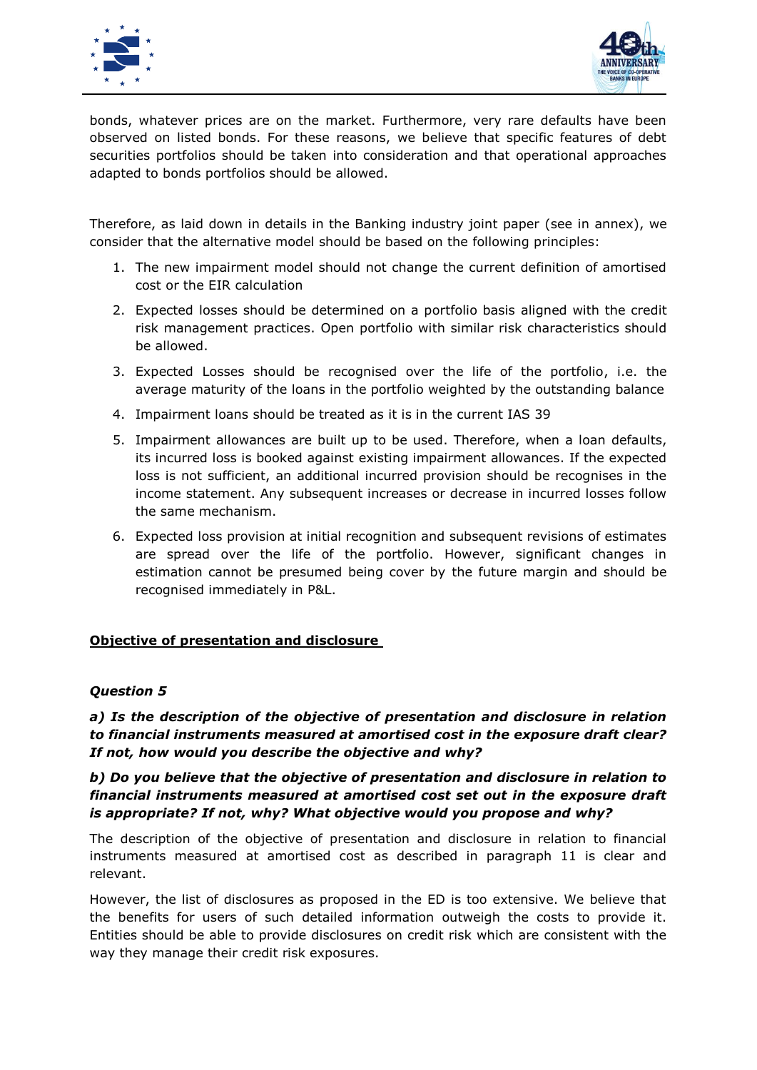



bonds, whatever prices are on the market. Furthermore, very rare defaults have been observed on listed bonds. For these reasons, we believe that specific features of debt securities portfolios should be taken into consideration and that operational approaches adapted to bonds portfolios should be allowed.

Therefore, as laid down in details in the Banking industry joint paper (see in annex), we consider that the alternative model should be based on the following principles:

- 1. The new impairment model should not change the current definition of amortised cost or the EIR calculation
- 2. Expected losses should be determined on a portfolio basis aligned with the credit risk management practices. Open portfolio with similar risk characteristics should be allowed.
- 3. Expected Losses should be recognised over the life of the portfolio, i.e. the average maturity of the loans in the portfolio weighted by the outstanding balance
- 4. Impairment loans should be treated as it is in the current IAS 39
- 5. Impairment allowances are built up to be used. Therefore, when a loan defaults, its incurred loss is booked against existing impairment allowances. If the expected loss is not sufficient, an additional incurred provision should be recognises in the income statement. Any subsequent increases or decrease in incurred losses follow the same mechanism.
- 6. Expected loss provision at initial recognition and subsequent revisions of estimates are spread over the life of the portfolio. However, significant changes in estimation cannot be presumed being cover by the future margin and should be recognised immediately in P&L.

#### **Objective of presentation and disclosure**

#### *Question 5*

*a) Is the description of the objective of presentation and disclosure in relation to financial instruments measured at amortised cost in the exposure draft clear? If not, how would you describe the objective and why?*

#### *b) Do you believe that the objective of presentation and disclosure in relation to financial instruments measured at amortised cost set out in the exposure draft is appropriate? If not, why? What objective would you propose and why?*

The description of the objective of presentation and disclosure in relation to financial instruments measured at amortised cost as described in paragraph 11 is clear and relevant.

However, the list of disclosures as proposed in the ED is too extensive. We believe that the benefits for users of such detailed information outweigh the costs to provide it. Entities should be able to provide disclosures on credit risk which are consistent with the way they manage their credit risk exposures.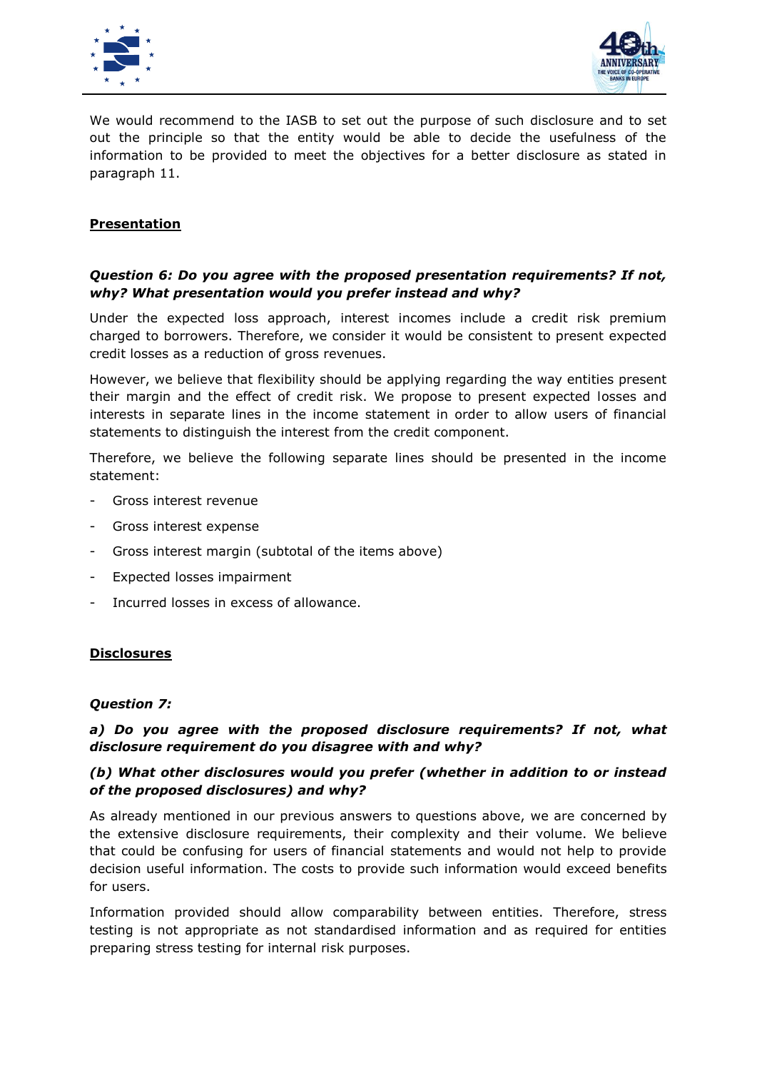



We would recommend to the IASB to set out the purpose of such disclosure and to set out the principle so that the entity would be able to decide the usefulness of the information to be provided to meet the objectives for a better disclosure as stated in paragraph 11.

#### **Presentation**

#### *Question 6: Do you agree with the proposed presentation requirements? If not, why? What presentation would you prefer instead and why?*

Under the expected loss approach, interest incomes include a credit risk premium charged to borrowers. Therefore, we consider it would be consistent to present expected credit losses as a reduction of gross revenues.

However, we believe that flexibility should be applying regarding the way entities present their margin and the effect of credit risk. We propose to present expected losses and interests in separate lines in the income statement in order to allow users of financial statements to distinguish the interest from the credit component.

Therefore, we believe the following separate lines should be presented in the income statement:

- Gross interest revenue
- Gross interest expense
- Gross interest margin (subtotal of the items above)
- Expected losses impairment
- Incurred losses in excess of allowance.

#### **Disclosures**

#### *Question 7:*

#### *a) Do you agree with the proposed disclosure requirements? If not, what disclosure requirement do you disagree with and why?*

#### *(b) What other disclosures would you prefer (whether in addition to or instead of the proposed disclosures) and why?*

As already mentioned in our previous answers to questions above, we are concerned by the extensive disclosure requirements, their complexity and their volume. We believe that could be confusing for users of financial statements and would not help to provide decision useful information. The costs to provide such information would exceed benefits for users.

Information provided should allow comparability between entities. Therefore, stress testing is not appropriate as not standardised information and as required for entities preparing stress testing for internal risk purposes.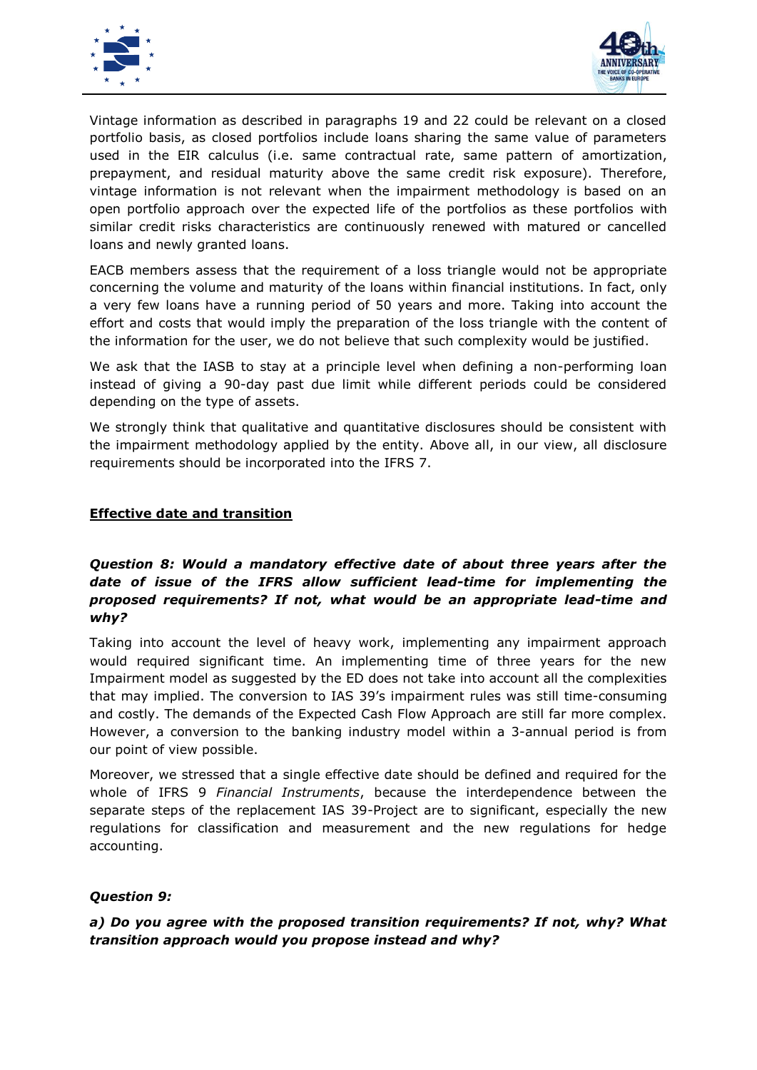



Vintage information as described in paragraphs 19 and 22 could be relevant on a closed portfolio basis, as closed portfolios include loans sharing the same value of parameters used in the EIR calculus (i.e. same contractual rate, same pattern of amortization, prepayment, and residual maturity above the same credit risk exposure). Therefore, vintage information is not relevant when the impairment methodology is based on an open portfolio approach over the expected life of the portfolios as these portfolios with similar credit risks characteristics are continuously renewed with matured or cancelled loans and newly granted loans.

EACB members assess that the requirement of a loss triangle would not be appropriate concerning the volume and maturity of the loans within financial institutions. In fact, only a very few loans have a running period of 50 years and more. Taking into account the effort and costs that would imply the preparation of the loss triangle with the content of the information for the user, we do not believe that such complexity would be justified.

We ask that the IASB to stay at a principle level when defining a non-performing loan instead of giving a 90-day past due limit while different periods could be considered depending on the type of assets.

We strongly think that qualitative and quantitative disclosures should be consistent with the impairment methodology applied by the entity. Above all, in our view, all disclosure requirements should be incorporated into the IFRS 7.

#### **Effective date and transition**

### *Question 8: Would a mandatory effective date of about three years after the date of issue of the IFRS allow sufficient lead-time for implementing the proposed requirements? If not, what would be an appropriate lead-time and why?*

Taking into account the level of heavy work, implementing any impairment approach would required significant time. An implementing time of three years for the new Impairment model as suggested by the ED does not take into account all the complexities that may implied. The conversion to IAS 39's impairment rules was still time-consuming and costly. The demands of the Expected Cash Flow Approach are still far more complex. However, a conversion to the banking industry model within a 3-annual period is from our point of view possible.

Moreover, we stressed that a single effective date should be defined and required for the whole of IFRS 9 *Financial Instruments*, because the interdependence between the separate steps of the replacement IAS 39-Project are to significant, especially the new regulations for classification and measurement and the new regulations for hedge accounting.

#### *Question 9:*

#### *a) Do you agree with the proposed transition requirements? If not, why? What transition approach would you propose instead and why?*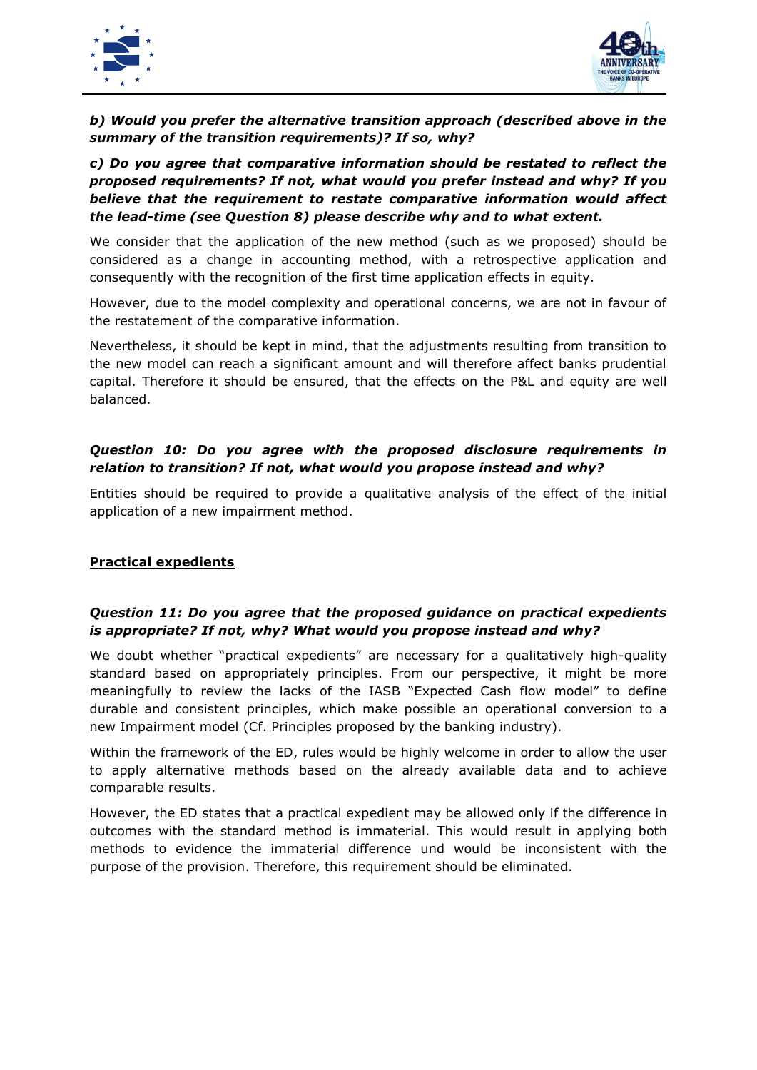



# *b) Would you prefer the alternative transition approach (described above in the summary of the transition requirements)? If so, why?*

## *c) Do you agree that comparative information should be restated to reflect the proposed requirements? If not, what would you prefer instead and why? If you believe that the requirement to restate comparative information would affect the lead-time (see Question 8) please describe why and to what extent.*

We consider that the application of the new method (such as we proposed) should be considered as a change in accounting method, with a retrospective application and consequently with the recognition of the first time application effects in equity.

However, due to the model complexity and operational concerns, we are not in favour of the restatement of the comparative information.

Nevertheless, it should be kept in mind, that the adjustments resulting from transition to the new model can reach a significant amount and will therefore affect banks prudential capital. Therefore it should be ensured, that the effects on the P&L and equity are well balanced.

# *Question 10: Do you agree with the proposed disclosure requirements in relation to transition? If not, what would you propose instead and why?*

Entities should be required to provide a qualitative analysis of the effect of the initial application of a new impairment method.

#### **Practical expedients**

#### *Question 11: Do you agree that the proposed guidance on practical expedients is appropriate? If not, why? What would you propose instead and why?*

We doubt whether "practical expedients" are necessary for a qualitatively high-quality standard based on appropriately principles. From our perspective, it might be more meaningfully to review the lacks of the IASB "Expected Cash flow model" to define durable and consistent principles, which make possible an operational conversion to a new Impairment model (Cf. Principles proposed by the banking industry).

Within the framework of the ED, rules would be highly welcome in order to allow the user to apply alternative methods based on the already available data and to achieve comparable results.

However, the ED states that a practical expedient may be allowed only if the difference in outcomes with the standard method is immaterial. This would result in applying both methods to evidence the immaterial difference und would be inconsistent with the purpose of the provision. Therefore, this requirement should be eliminated.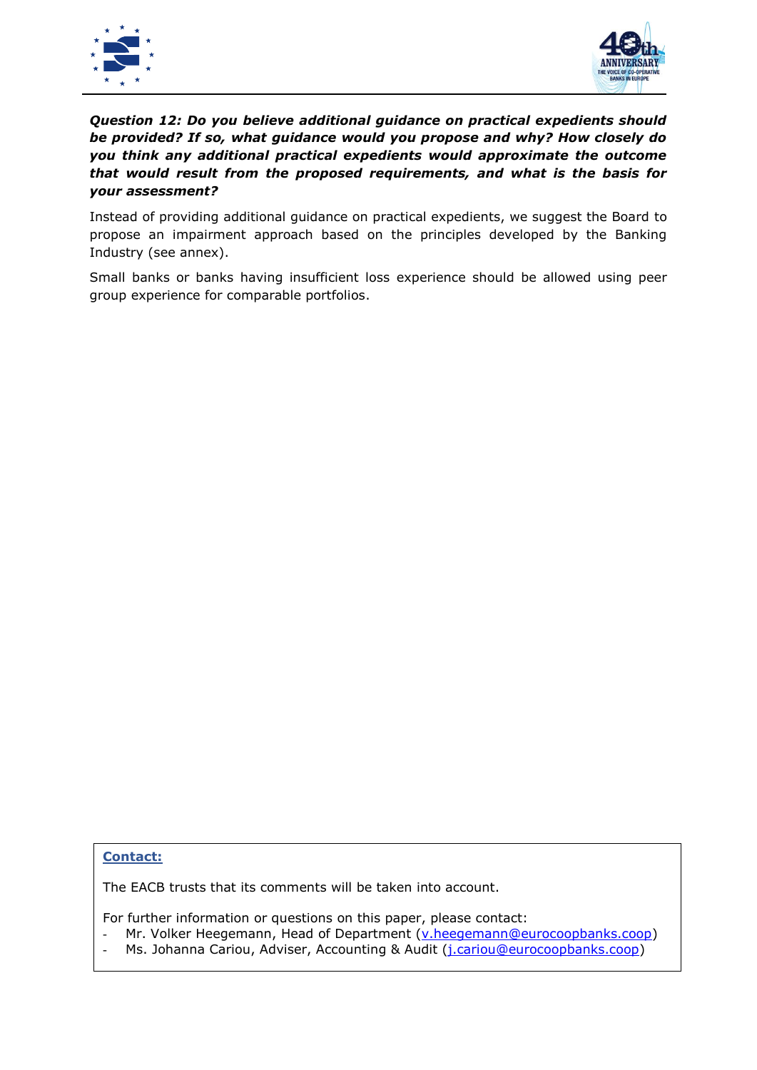



# *Question 12: Do you believe additional guidance on practical expedients should be provided? If so, what guidance would you propose and why? How closely do you think any additional practical expedients would approximate the outcome that would result from the proposed requirements, and what is the basis for your assessment?*

Instead of providing additional guidance on practical expedients, we suggest the Board to propose an impairment approach based on the principles developed by the Banking Industry (see annex).

Small banks or banks having insufficient loss experience should be allowed using peer group experience for comparable portfolios.

#### **Contact:**

The EACB trusts that its comments will be taken into account.

For further information or questions on this paper, please contact:

- Mr. Volker Heegemann, Head of Department [\(v.heegemann@eurocoopbanks.coop\)](mailto:v.heegemann@eurocoopbanks.coop)
- Ms. Johanna Cariou, Adviser, Accounting & Audit (*j.cariou@eurocoopbanks.coop*)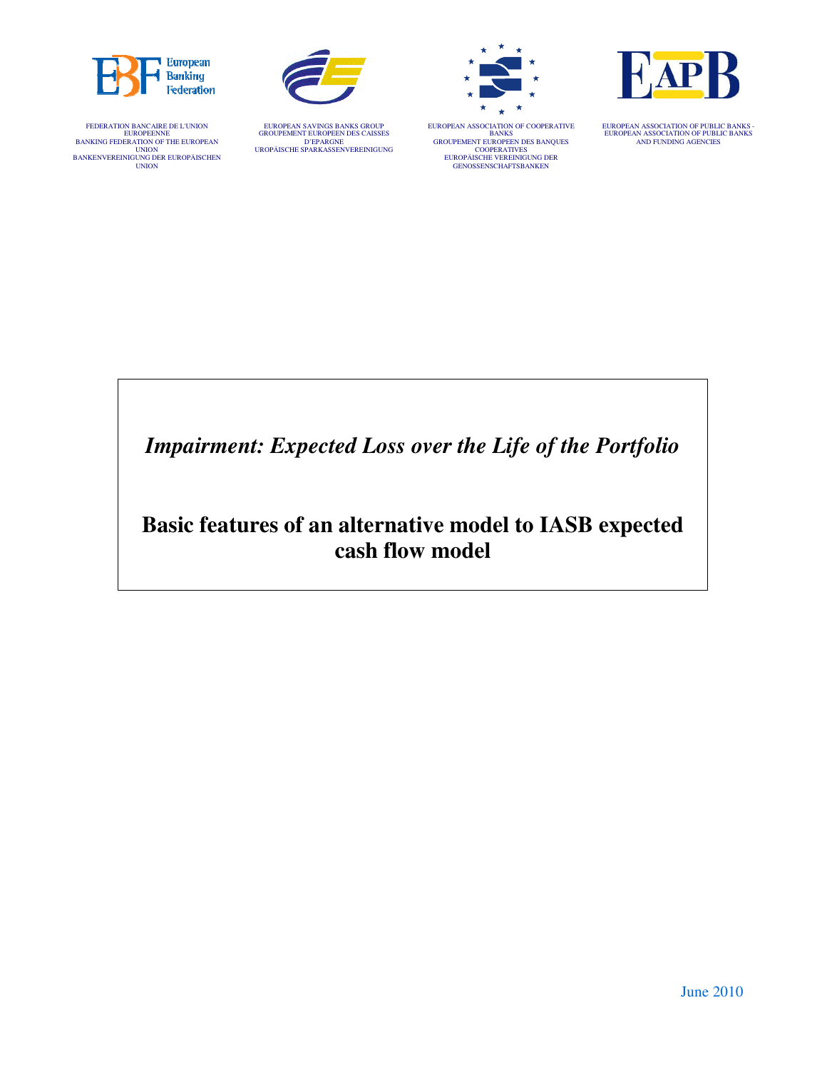

FEDERATION BANCAIRE DE L'UNION EUROPEENNE BANKING FEDERATION OF THE EUROPEAN UNION<br>UNION<br>BANKENVEREINIGUNG DER EUROPÄISCHEN<br>UNION



EUROPEAN SAVINGS BANKS GROUP GROUPEMENT EUROPEEN DES CAISSES D'EPARGNE UROPÄISCHE SPARKASSENVEREINIGUNG







EUROPEAN ASSOCIATION OF PUBLIC BANKS - EUROPEAN ASSOCIATION OF PUBLIC BANKS AND FUNDING AGENCIES

*Impairment: Expected Loss over the Life of the Portfolio*

# **Basic features of an alternative model to IASB expected cash flow model**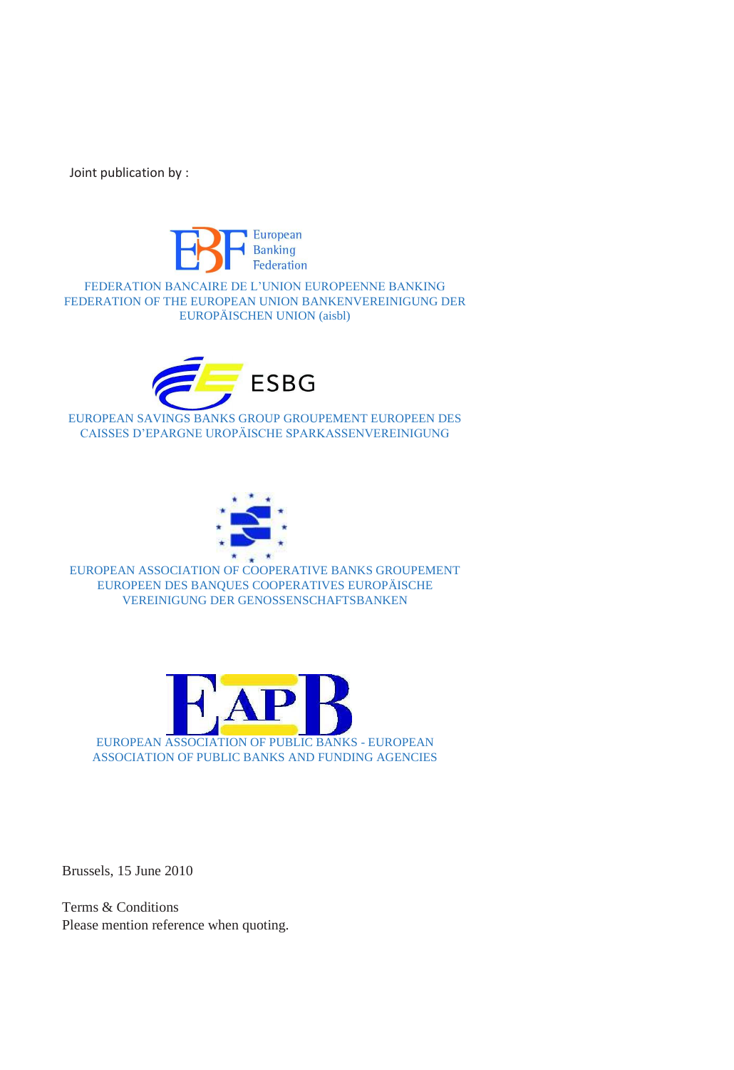Joint publication by :



FEDERATION BANCAIRE DE L'UNION EUROPEENNE BANKING FEDERATION OF THE EUROPEAN UNION BANKENVEREINIGUNG DER EUROPÄISCHEN UNION (aisbl)



EUROPEAN SAVINGS BANKS GROUP GROUPEMENT EUROPEEN DES CAISSES D'EPARGNE UROPÄISCHE SPARKASSENVEREINIGUNG



EUROPEAN ASSOCIATION OF COOPERATIVE BANKS GROUPEMENT EUROPEEN DES BANQUES COOPERATIVES EUROPÄISCHE VEREINIGUNG DER GENOSSENSCHAFTSBANKEN



Brussels, 15 June 2010

Terms & Conditions Please mention reference when quoting.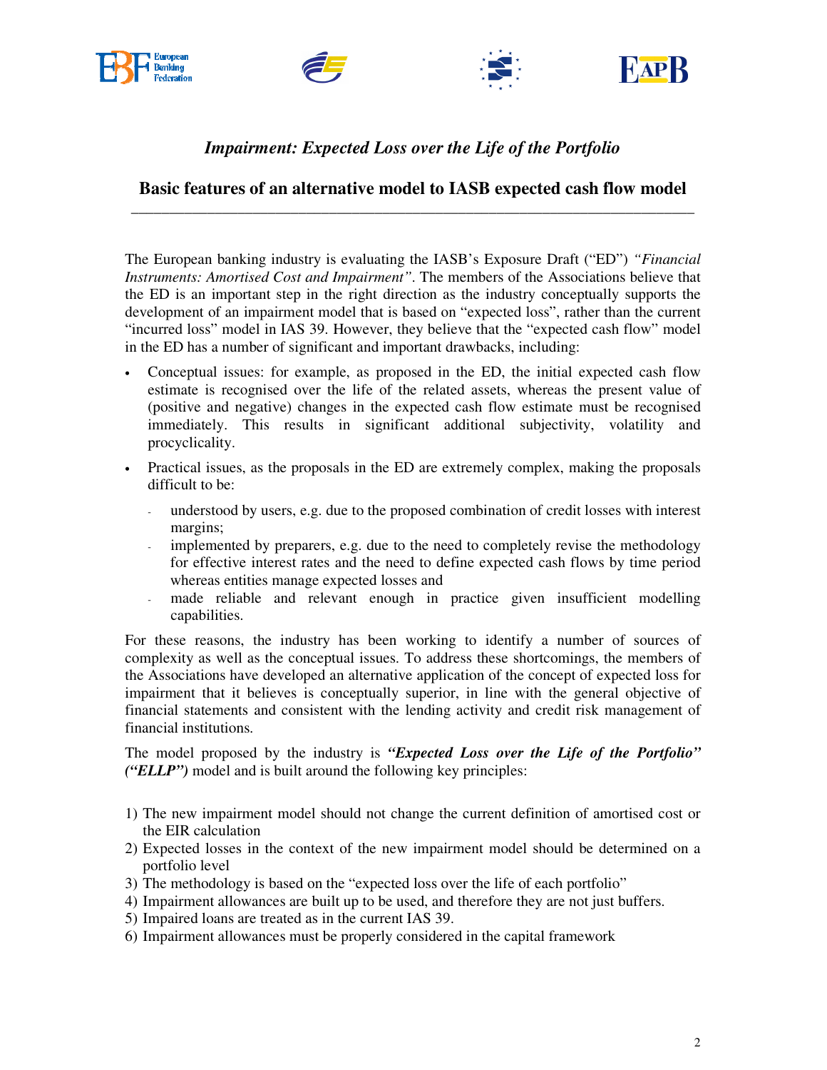







# *Impairment: Expected Loss over the Life of the Portfolio*

#### **Basic features of an alternative model to IASB expected cash flow model**  \_\_\_\_\_\_\_\_\_\_\_\_\_\_\_\_\_\_\_\_\_\_\_\_\_\_\_\_\_\_\_\_\_\_\_\_\_\_\_\_\_\_\_\_\_\_\_\_\_\_\_\_\_\_\_\_\_\_\_\_\_\_\_\_\_\_\_\_\_\_\_\_\_\_

The European banking industry is evaluating the IASB's Exposure Draft ("ED") *"Financial Instruments: Amortised Cost and Impairment"*. The members of the Associations believe that the ED is an important step in the right direction as the industry conceptually supports the development of an impairment model that is based on "expected loss", rather than the current "incurred loss" model in IAS 39. However, they believe that the "expected cash flow" model in the ED has a number of significant and important drawbacks, including:

- Conceptual issues: for example, as proposed in the ED, the initial expected cash flow estimate is recognised over the life of the related assets, whereas the present value of (positive and negative) changes in the expected cash flow estimate must be recognised immediately. This results in significant additional subjectivity, volatility and procyclicality.
- Practical issues, as the proposals in the ED are extremely complex, making the proposals difficult to be:
	- understood by users, e.g. due to the proposed combination of credit losses with interest margins;
	- implemented by preparers, e.g. due to the need to completely revise the methodology for effective interest rates and the need to define expected cash flows by time period whereas entities manage expected losses and
	- made reliable and relevant enough in practice given insufficient modelling capabilities.

For these reasons, the industry has been working to identify a number of sources of complexity as well as the conceptual issues. To address these shortcomings, the members of the Associations have developed an alternative application of the concept of expected loss for impairment that it believes is conceptually superior, in line with the general objective of financial statements and consistent with the lending activity and credit risk management of financial institutions.

The model proposed by the industry is *"Expected Loss over the Life of the Portfolio" ("ELLP")* model and is built around the following key principles:

- 1) The new impairment model should not change the current definition of amortised cost or the EIR calculation
- 2) Expected losses in the context of the new impairment model should be determined on a portfolio level
- 3) The methodology is based on the "expected loss over the life of each portfolio"
- 4) Impairment allowances are built up to be used, and therefore they are not just buffers.
- 5) Impaired loans are treated as in the current IAS 39.
- 6) Impairment allowances must be properly considered in the capital framework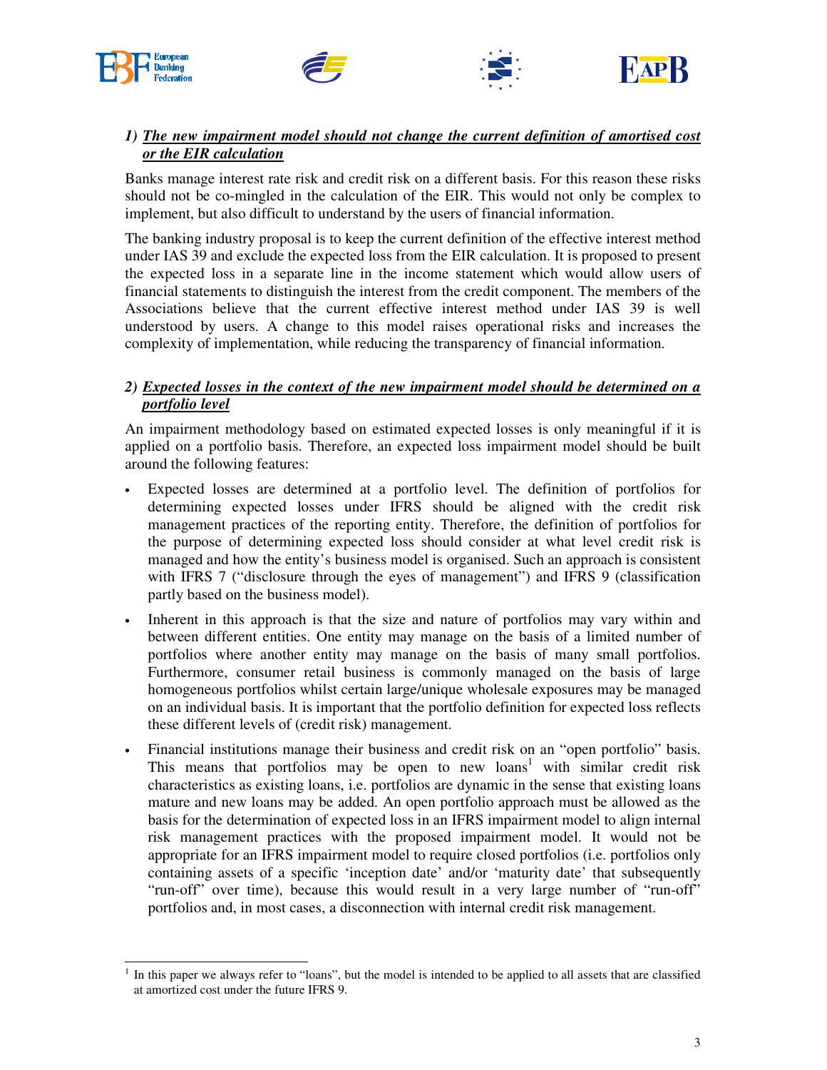

l







# *1) The new impairment model should not change the current definition of amortised cost or the EIR calculation*

Banks manage interest rate risk and credit risk on a different basis. For this reason these risks should not be co-mingled in the calculation of the EIR. This would not only be complex to implement, but also difficult to understand by the users of financial information.

The banking industry proposal is to keep the current definition of the effective interest method under IAS 39 and exclude the expected loss from the EIR calculation. It is proposed to present the expected loss in a separate line in the income statement which would allow users of financial statements to distinguish the interest from the credit component. The members of the Associations believe that the current effective interest method under IAS 39 is well understood by users. A change to this model raises operational risks and increases the complexity of implementation, while reducing the transparency of financial information.

#### *2) Expected losses in the context of the new impairment model should be determined on a portfolio level*

An impairment methodology based on estimated expected losses is only meaningful if it is applied on a portfolio basis. Therefore, an expected loss impairment model should be built around the following features:

- Expected losses are determined at a portfolio level. The definition of portfolios for determining expected losses under IFRS should be aligned with the credit risk management practices of the reporting entity. Therefore, the definition of portfolios for the purpose of determining expected loss should consider at what level credit risk is managed and how the entity's business model is organised. Such an approach is consistent with IFRS 7 ("disclosure through the eyes of management") and IFRS 9 (classification partly based on the business model).
- Inherent in this approach is that the size and nature of portfolios may vary within and between different entities. One entity may manage on the basis of a limited number of portfolios where another entity may manage on the basis of many small portfolios. Furthermore, consumer retail business is commonly managed on the basis of large homogeneous portfolios whilst certain large/unique wholesale exposures may be managed on an individual basis. It is important that the portfolio definition for expected loss reflects these different levels of (credit risk) management.
- Financial institutions manage their business and credit risk on an "open portfolio" basis. This means that portfolios may be open to new loans<sup>1</sup> with similar credit risk characteristics as existing loans, i.e. portfolios are dynamic in the sense that existing loans mature and new loans may be added. An open portfolio approach must be allowed as the basis for the determination of expected loss in an IFRS impairment model to align internal risk management practices with the proposed impairment model. It would not be appropriate for an IFRS impairment model to require closed portfolios (i.e. portfolios only containing assets of a specific 'inception date' and/or 'maturity date' that subsequently "run-off" over time), because this would result in a very large number of "run-off" portfolios and, in most cases, a disconnection with internal credit risk management.

<sup>1</sup> In this paper we always refer to "loans", but the model is intended to be applied to all assets that are classified at amortized cost under the future IFRS 9.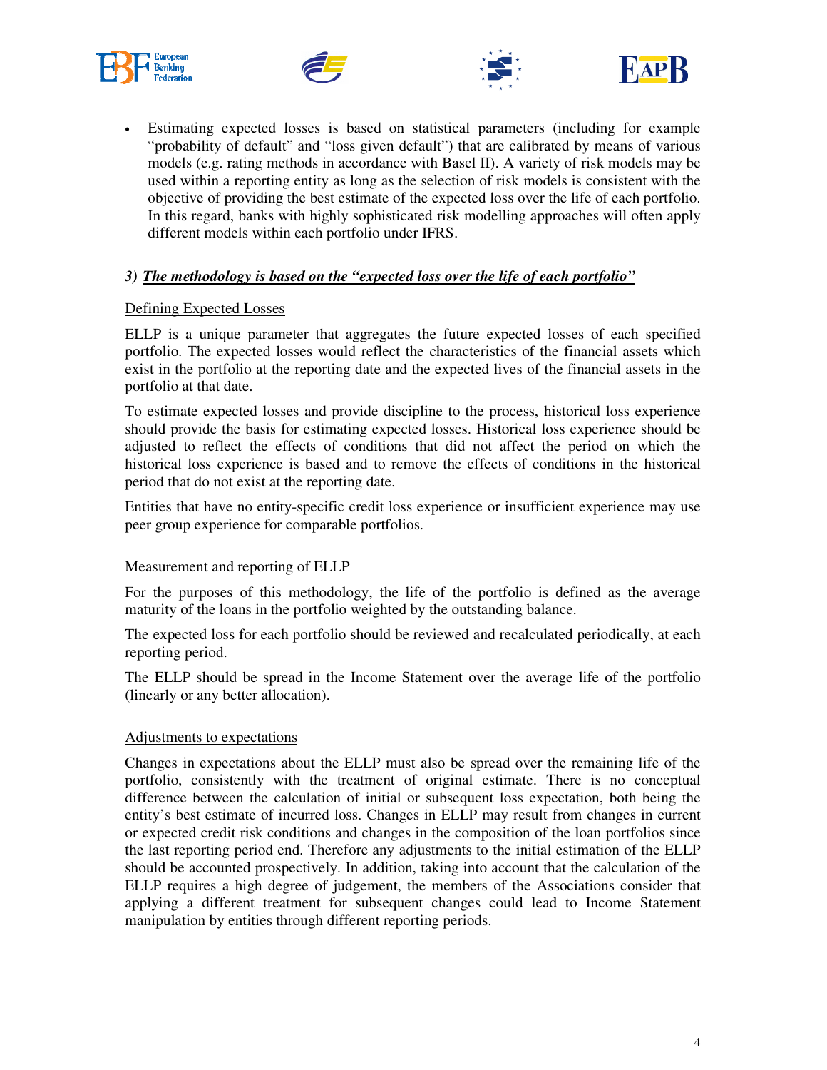







Estimating expected losses is based on statistical parameters (including for example "probability of default" and "loss given default") that are calibrated by means of various models (e.g. rating methods in accordance with Basel II). A variety of risk models may be used within a reporting entity as long as the selection of risk models is consistent with the objective of providing the best estimate of the expected loss over the life of each portfolio. In this regard, banks with highly sophisticated risk modelling approaches will often apply different models within each portfolio under IFRS.

#### *3) The methodology is based on the "expected loss over the life of each portfolio"*

#### Defining Expected Losses

ELLP is a unique parameter that aggregates the future expected losses of each specified portfolio. The expected losses would reflect the characteristics of the financial assets which exist in the portfolio at the reporting date and the expected lives of the financial assets in the portfolio at that date.

To estimate expected losses and provide discipline to the process, historical loss experience should provide the basis for estimating expected losses. Historical loss experience should be adjusted to reflect the effects of conditions that did not affect the period on which the historical loss experience is based and to remove the effects of conditions in the historical period that do not exist at the reporting date.

Entities that have no entity-specific credit loss experience or insufficient experience may use peer group experience for comparable portfolios.

#### Measurement and reporting of ELLP

For the purposes of this methodology, the life of the portfolio is defined as the average maturity of the loans in the portfolio weighted by the outstanding balance.

The expected loss for each portfolio should be reviewed and recalculated periodically, at each reporting period.

The ELLP should be spread in the Income Statement over the average life of the portfolio (linearly or any better allocation).

#### Adjustments to expectations

Changes in expectations about the ELLP must also be spread over the remaining life of the portfolio, consistently with the treatment of original estimate. There is no conceptual difference between the calculation of initial or subsequent loss expectation, both being the entity's best estimate of incurred loss. Changes in ELLP may result from changes in current or expected credit risk conditions and changes in the composition of the loan portfolios since the last reporting period end. Therefore any adjustments to the initial estimation of the ELLP should be accounted prospectively. In addition, taking into account that the calculation of the ELLP requires a high degree of judgement, the members of the Associations consider that applying a different treatment for subsequent changes could lead to Income Statement manipulation by entities through different reporting periods.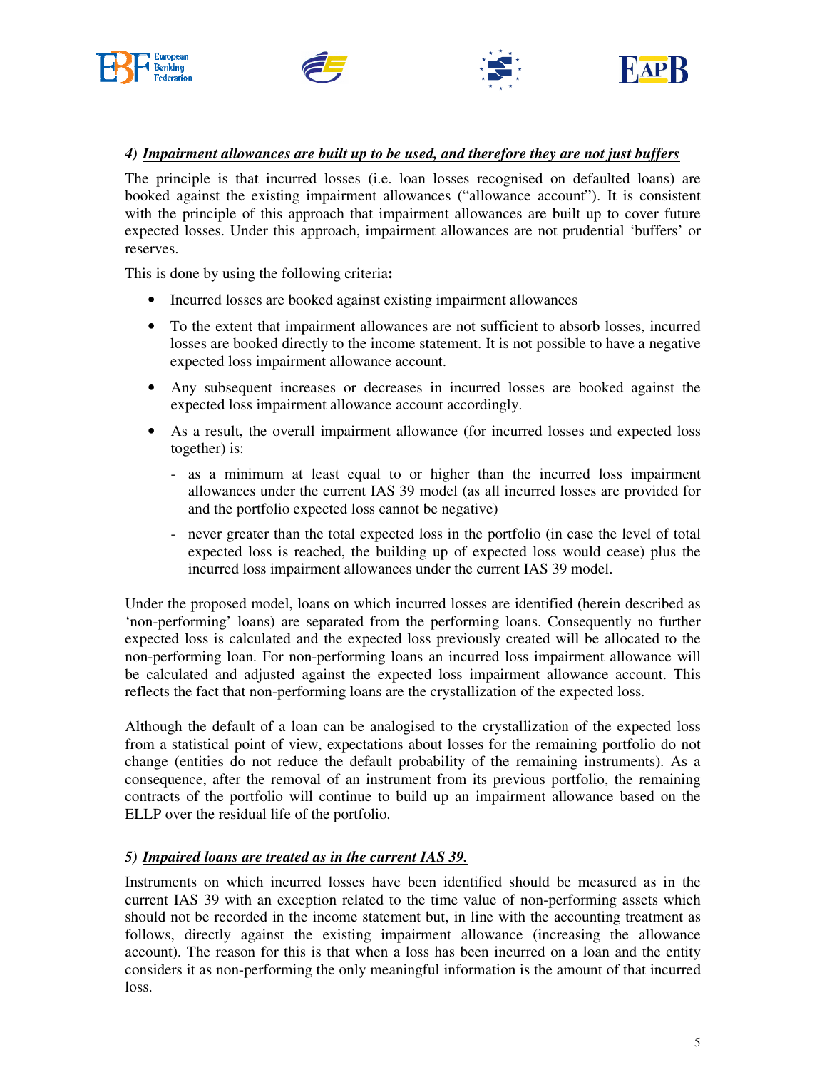







#### *4) Impairment allowances are built up to be used, and therefore they are not just buffers*

The principle is that incurred losses (i.e. loan losses recognised on defaulted loans) are booked against the existing impairment allowances ("allowance account"). It is consistent with the principle of this approach that impairment allowances are built up to cover future expected losses. Under this approach, impairment allowances are not prudential 'buffers' or reserves.

This is done by using the following criteria**:** 

- Incurred losses are booked against existing impairment allowances
- To the extent that impairment allowances are not sufficient to absorb losses, incurred losses are booked directly to the income statement. It is not possible to have a negative expected loss impairment allowance account.
- Any subsequent increases or decreases in incurred losses are booked against the expected loss impairment allowance account accordingly.
- As a result, the overall impairment allowance (for incurred losses and expected loss together) is:
	- as a minimum at least equal to or higher than the incurred loss impairment allowances under the current IAS 39 model (as all incurred losses are provided for and the portfolio expected loss cannot be negative)
	- never greater than the total expected loss in the portfolio (in case the level of total expected loss is reached, the building up of expected loss would cease) plus the incurred loss impairment allowances under the current IAS 39 model.

Under the proposed model, loans on which incurred losses are identified (herein described as 'non-performing' loans) are separated from the performing loans. Consequently no further expected loss is calculated and the expected loss previously created will be allocated to the non-performing loan. For non-performing loans an incurred loss impairment allowance will be calculated and adjusted against the expected loss impairment allowance account. This reflects the fact that non-performing loans are the crystallization of the expected loss.

Although the default of a loan can be analogised to the crystallization of the expected loss from a statistical point of view, expectations about losses for the remaining portfolio do not change (entities do not reduce the default probability of the remaining instruments). As a consequence, after the removal of an instrument from its previous portfolio, the remaining contracts of the portfolio will continue to build up an impairment allowance based on the ELLP over the residual life of the portfolio.

#### *5) Impaired loans are treated as in the current IAS 39.*

Instruments on which incurred losses have been identified should be measured as in the current IAS 39 with an exception related to the time value of non-performing assets which should not be recorded in the income statement but, in line with the accounting treatment as follows, directly against the existing impairment allowance (increasing the allowance account). The reason for this is that when a loss has been incurred on a loan and the entity considers it as non-performing the only meaningful information is the amount of that incurred loss.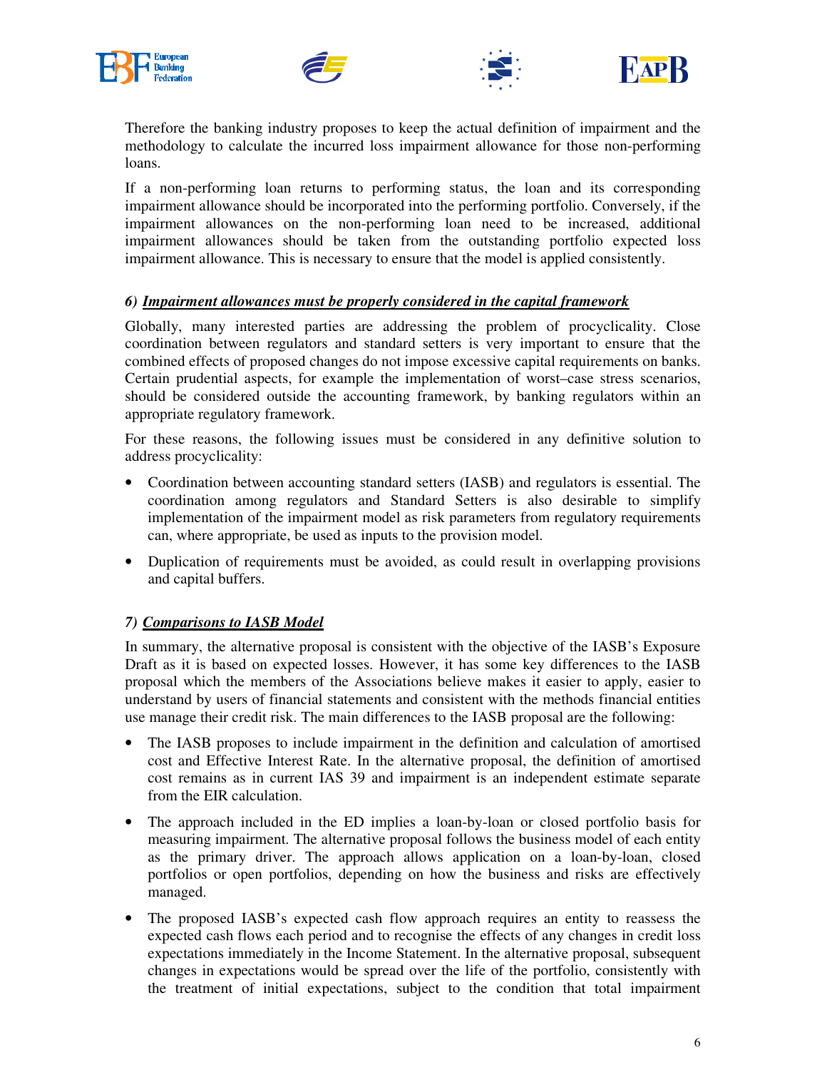







Therefore the banking industry proposes to keep the actual definition of impairment and the methodology to calculate the incurred loss impairment allowance for those non-performing loans.

If a non-performing loan returns to performing status, the loan and its corresponding impairment allowance should be incorporated into the performing portfolio. Conversely, if the impairment allowances on the non-performing loan need to be increased, additional impairment allowances should be taken from the outstanding portfolio expected loss impairment allowance. This is necessary to ensure that the model is applied consistently.

#### *6) Impairment allowances must be properly considered in the capital framework*

Globally, many interested parties are addressing the problem of procyclicality. Close coordination between regulators and standard setters is very important to ensure that the combined effects of proposed changes do not impose excessive capital requirements on banks. Certain prudential aspects, for example the implementation of worst–case stress scenarios, should be considered outside the accounting framework, by banking regulators within an appropriate regulatory framework.

For these reasons, the following issues must be considered in any definitive solution to address procyclicality:

- Coordination between accounting standard setters (IASB) and regulators is essential. The coordination among regulators and Standard Setters is also desirable to simplify implementation of the impairment model as risk parameters from regulatory requirements can, where appropriate, be used as inputs to the provision model.
- Duplication of requirements must be avoided, as could result in overlapping provisions and capital buffers.

#### *7) Comparisons to IASB Model*

In summary, the alternative proposal is consistent with the objective of the IASB's Exposure Draft as it is based on expected losses. However, it has some key differences to the IASB proposal which the members of the Associations believe makes it easier to apply, easier to understand by users of financial statements and consistent with the methods financial entities use manage their credit risk. The main differences to the IASB proposal are the following:

- The IASB proposes to include impairment in the definition and calculation of amortised cost and Effective Interest Rate. In the alternative proposal, the definition of amortised cost remains as in current IAS 39 and impairment is an independent estimate separate from the EIR calculation.
- The approach included in the ED implies a loan-by-loan or closed portfolio basis for measuring impairment. The alternative proposal follows the business model of each entity as the primary driver. The approach allows application on a loan-by-loan, closed portfolios or open portfolios, depending on how the business and risks are effectively managed.
- The proposed IASB's expected cash flow approach requires an entity to reassess the expected cash flows each period and to recognise the effects of any changes in credit loss expectations immediately in the Income Statement. In the alternative proposal, subsequent changes in expectations would be spread over the life of the portfolio, consistently with the treatment of initial expectations, subject to the condition that total impairment